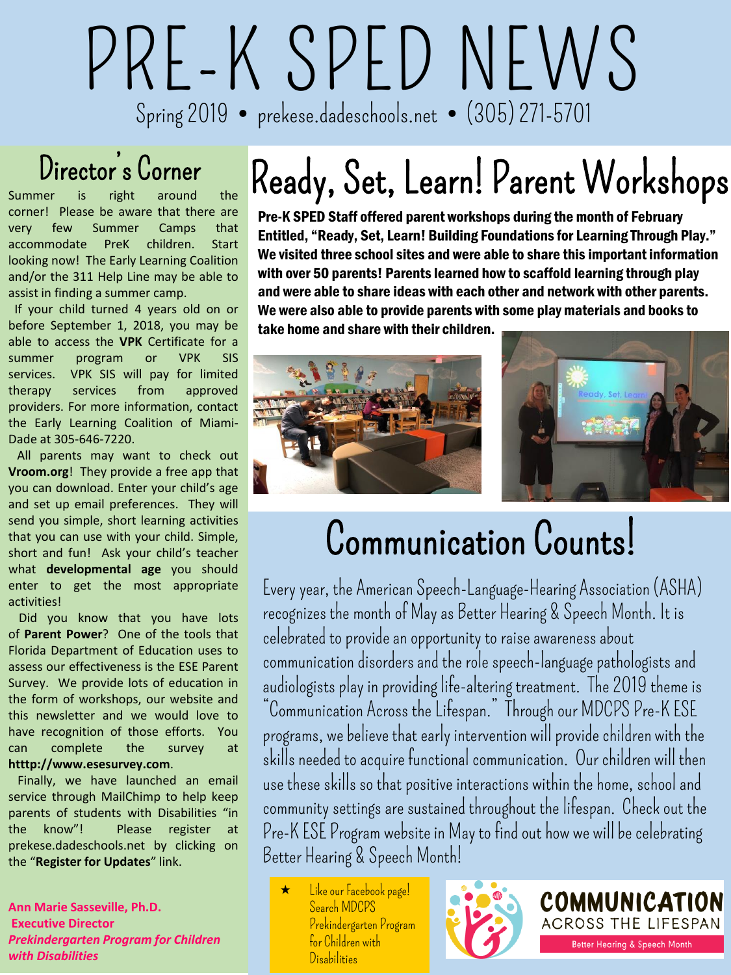# PRE-K SPED NEWS Spring 2019 prekese.dadeschools.net (305) 271-5701

### Director's Corner

Summer is right around the corner! Please be aware that there are very few Summer Camps that accommodate PreK children. Start looking now! The Early Learning Coalition and/or the 311 Help Line may be able to assist in finding a summer camp.

If your child turned 4 years old on or before September 1, 2018, you may be able to access the **VPK** Certificate for a summer program or VPK SIS services. VPK SIS will pay for limited therapy services from approved providers. For more information, contact the Early Learning Coalition of Miami-Dade at 305-646-7220.

All parents may want to check out **Vroom.org**! They provide a free app that you can download. Enter your child's age and set up email preferences. They will send you simple, short learning activities that you can use with your child. Simple, short and fun! Ask your child's teacher what **developmental age** you should enter to get the most appropriate activities!

Did you know that you have lots of **Parent Power**? One of the tools that Florida Department of Education uses to assess our effectiveness is the ESE Parent Survey. We provide lots of education in the form of workshops, our website and this newsletter and we would love to have recognition of those efforts. You can complete the survey at **htttp://www.esesurvey.com**.

Finally, we have launched an email service through MailChimp to help keep parents of students with Disabilities "in the know"! Please register at prekese.dadeschools.net by clicking on the "**Register for Updates**" link.

**Ann Marie Sasseville, Ph.D. Executive Director** *Prekindergarten Program for Children with Disabilities*

## Ready, Set, Learn! Parent Workshops

Pre-K SPED Staff offered parent workshops during the month of February Entitled, "Ready, Set, Learn! Building Foundations for Learning Through Play." We visited three school sites and were able to share this important information with over 50 parents! Parents learned how to scaffold learning through play and were able to share ideas with each other and network with other parents. We were also able to provide parents with some play materials and books to take home and share with their children.



### Communication Counts!

Every year, the American Speech-Language-Hearing Association (ASHA) recognizes the month of May as Better Hearing & Speech Month. It is celebrated to provide an opportunity to raise awareness about communication disorders and the role speech-language pathologists and audiologists play in providing life-altering treatment. The 2019 theme is "Communication Across the Lifespan." Through our MDCPS Pre-K ESE programs, we believe that early intervention will provide children with the skills needed to acquire functional communication. Our children will then use these skills so that positive interactions within the home, school and community settings are sustained throughout the lifespan. Check out the Pre-K ESE Program website in May to find out how we will be celebrating Better Hearing & Speech Month!

 Like our Facebook page! Search MDCPS Prekindergarten Program for Children with **Disabilities** 



COMMUNICATION ACROSS THE LIFESPAN **Better Hearing & Speech Month**